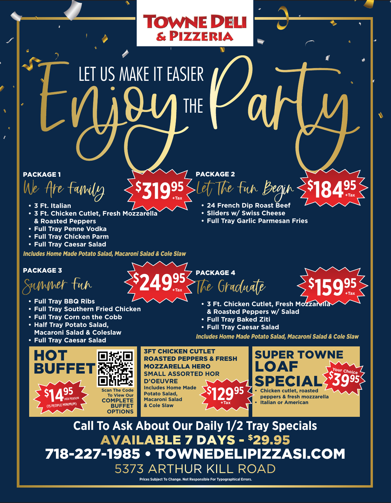# EN JOY THE Vary THE

**\$**

**31995**

**+Tax**

### PACKAGE 1

 ${\it tanh}$ 

- **• 3 Ft. Italian**
- **• 3 Ft. Chicken Cutlet, Fresh Mozzarella & Roasted Peppers**
- **• Full Tray Penne Vodka**
- **• Full Tray Chicken Parm**
- **• Full Tray Caesar Salad**

Includes Home Made Potato Salad, Macaroni Salad & Cole Slaw

#### PACKAGE 3

Summer Fun

- **• Full Tray BBQ Ribs**
- **• Full Tray Southern Fried Chicken**
- **• Full Tray Corn on the Cobb**
- **• Half Tray Potato Salad, Macaroni Salad & Coleslaw**
- **• Full Tray Caesar Salad**





3FT CHICKEN CUTLET

MOZZARELLA HERO

ROASTED PEPPERS & FRESH

PACKAGE 2

**TOWNE DELI** 

& PIZZERIA

**• 3 Ft. Chicken Cutlet, Fresh Mozzarella \$ 15995**

The Fun Begin

**\$**

**18495**

**+Tax**

**+Tax**

**Your Choice** 

**• Full Tray Garlic Parmesan Fries**

**• 24 French Dip Roast Beef • Sliders w/ Swiss Cheese**

- **& Roasted Peppers w/ Salad**
- **• Full Tray Baked Ziti**
- **• Full Tray Caesar Salad**

Includes Home Made Potato Salad, Macaroni Salad & Cole Slaw

LOAF

SUPER TOWNE

**Call To Ask About Our Daily 1/2 Tray Specials** AVAILABLE 7 DAYS - \$29.95 718-227-1985 • TOWNEDELIPIZZASI.COM **Scan The Code To View Our COMPLETE BUFFET OPTIONS \$ 12995 SMALL ASSORTED HOR D'OEUVRE Includes Home Made Potato Salad, Macaroni Salad**   $&$  Cole Slaw **•** Chicken cutlet, roasted **peppers & fresh mozzarella • Italian or American \$ 39<sup>95</sup>**

> 5373 ARTHUR KILL ROAD **Prices Subject To Change. Not Responsible For Typographical Errors.**